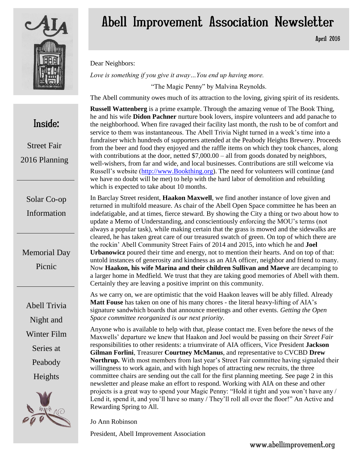

## Abell Improvement Association Newsletter

#### April 2016

Dear Neighbors:

*Love is something if you give it away…You end up having more.* "The Magic Penny" by Malvina Reynolds.

The Abell community owes much of its attraction to the loving, giving spirit of its residents.

### Inside:

Street Fair 2016 Planning

> Solar Co-op Information

Memorial Day

Picnic

Abell Trivia Night and Winter Film Series at Peabody

Heights



**Russell Wattenberg** is a prime example. Through the amazing venue of The Book Thing, he and his wife **Didon Pachner** nurture book lovers, inspire volunteers and add panache to the neighborhood. When fire ravaged their facility last month, the rush to be of comfort and service to them was instantaneous. The Abell Trivia Night turned in a week's time into a fundraiser which hundreds of supporters attended at the Peabody Heights Brewery. Proceeds from the beer and food they enjoyed and the raffle items on which they took chances, along with contributions at the door, netted  $$7,000.00 - a$ ll from goods donated by neighbors, well-wishers, from far and wide, and local businesses. Contributions are still welcome via Russell's website [\(http://www.Bookthing.org\)](http://www.bookthing.org/). The need for volunteers will continue (and we have no doubt will be met) to help with the hard labor of demolition and rebuilding which is expected to take about 10 months.

In Barclay Street resident, **Haakon Maxwell**, we find another instance of love given and returned in multifold measure. As chair of the Abell Open Space committee he has been an indefatigable, and at times, fierce steward. By showing the City a thing or two about how to update a Memo of Understanding, and conscientiously enforcing the MOU's terms (not always a popular task), while making certain that the grass is mowed and the sidewalks are cleared, he has taken great care of our treasured swatch of green. On top of which there are the rockin' Abell Community Street Fairs of 2014 and 2015, into which he and **Joel Urbanowicz** poured their time and energy, not to mention their hearts. And on top of that: untold instances of generosity and kindness as an AIA officer, neighbor and friend to many. Now **Haakon, his wife Marina and their children Sullivan and Maeve** are decamping to a larger home in Medfield. We trust that they are taking good memories of Abell with them. Certainly they are leaving a positive imprint on this community.

As we carry on, we are optimistic that the void Haakon leaves will be ably filled. Already **Matt Fouse** has taken on one of his many chores - the literal heavy-lifting of AIA's signature sandwhich boards that announce meetings and other events. *Getting the Open Space committee reorganized is our next priority.*

Anyone who is available to help with that, please contact me. Even before the news of the Maxwells' departure we knew that Haakon and Joel would be passing on their *Street Fair* responsibilities to other residents: a triumvirate of AIA officers, Vice President **Jackson Gilman Forlini**, Treasurer **Courtney McManus**, and representative to CVCBD **Drew Northrup.** With most members from last year's Street Fair committee having signaled their willingness to work again, and with high hopes of attracting new recruits, the three committee chairs are sending out the call for the first planning meeting. See page 2 in this newsletter and please make an effort to respond. Working with AIA on these and other projects is a great way to spend your Magic Penny: "Hold it tight and you won't have any / Lend it, spend it, and you'll have so many / They'll roll all over the floor!" An Active and Rewarding Spring to All.

Jo Ann Robinson

President, Abell Improvement Association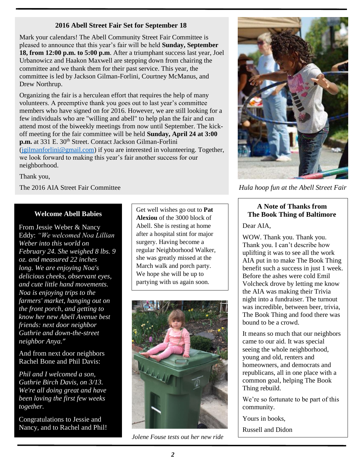#### **2016 Abell Street Fair Set for September 18**

Mark your calendars! The Abell Community Street Fair Committee is pleased to announce that this year's fair will be held **Sunday, September 18, from 12:00 p.m. to 5:00 p.m**. After a triumphant success last year, Joel Urbanowicz and Haakon Maxwell are stepping down from chairing the committee and we thank them for their past service. This year, the committee is led by Jackson Gilman-Forlini, Courtney McManus, and Drew Northrup.

Organizing the fair is a herculean effort that requires the help of many volunteers. A preemptive thank you goes out to last year's committee members who have signed on for 2016. However, we are still looking for a few individuals who are "willing and abell" to help plan the fair and can attend most of the biweekly meetings from now until September. The kickoff meeting for the fair committee will be held **Sunday, April 24 at 3:00**  p.m. at 331 E. 30<sup>th</sup> Street. Contact Jackson Gilman-Forlini [\(jgilmanforlini@gmail.com\)](mailto:jgilmanforlini@gmail.com) if you are interested in volunteering. Together, we look forward to making this year's fair another success for our neighborhood.

Thank you,

#### **Welcome Abell Babies**

From Jessie Weber & Nancy Eddy: *"We welcomed Noa Lillian Weber into this world on February 24. She weighed 8 lbs. 9 oz. and measured 22 inches long. We are enjoying Noa's delicious cheeks, observant eyes, and cute little hand movements. Noa is enjoying trips to the farmers' market, hanging out on the front porch, and getting to know her new Abell Avenue best friends: next door neighbor Guthrie and down-the-street neighbor Anya."* 

And from next door neighbors Rachel Bone and Phil Davis:

*Phil and I welcomed a son, Guthrie Birch Davis, on 3/13. We're all doing great and have been loving the first few weeks together.*

Congratulations to Jessie and Nancy, and to Rachel and Phil! Get well wishes go out to **Pat Alexiou** of the 3000 block of Abell. She is resting at home after a hospital stint for major surgery. Having become a regular Neighborhood Walker, she was greatly missed at the March walk and porch party. We hope she will be up to partying with us again soon.



*Jolene Fouse tests out her new ride*



The 2016 AIA Street Fair Committee *Hula hoop fun at the Abell Street Fair* 

#### **A Note of Thanks from The Book Thing of Baltimore**

Dear AIA,

WOW. Thank you. Thank you. Thank you. I can't describe how uplifting it was to see all the work AIA put in to make The Book Thing benefit such a success in just 1 week. Before the ashes were cold Emil Volcheck drove by letting me know the AIA was making their Trivia night into a fundraiser. The turnout was incredible, between beer, trivia, The Book Thing and food there was bound to be a crowd.

It means so much that our neighbors came to our aid. It was special seeing the whole neighborhood, young and old, renters and homeowners, and democrats and republicans, all in one place with a common goal, helping The Book Thing rebuild.

We're so fortunate to be part of this community.

Yours in books,

Russell and Didon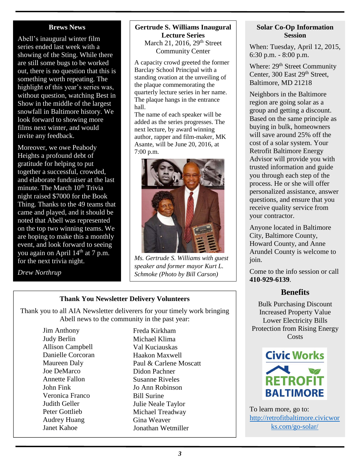#### **Brews News**

Abell's inaugural winter film series ended last week with a showing of the Sting. While there are still some bugs to be worked out, there is no question that this is something worth repeating. The highlight of this year's series was, without question, watching Best in Show in the middle of the largest snowfall in Baltimore history. We look forward to showing more films next winter, and would invite any feedback.

Moreover, we owe Peabody Heights a profound debt of gratitude for helping to put together a successful, crowded, and elaborate fundraiser at the last minute. The March  $10<sup>th</sup>$  Trivia night raised \$7000 for the Book Thing. Thanks to the 49 teams that came and played, and it should be noted that Abell was represented on the top two winning teams. We are hoping to make this a monthly event, and look forward to seeing you again on April  $14<sup>th</sup>$  at 7 p.m. for the next trivia night.

#### **Gertrude S. Williams Inaugural Lecture Series** March 21, 2016, 29<sup>th</sup> Street Community Center

A capacity crowd greeted the former Barclay School Principal with a standing ovation at the unveiling of the plaque commemorating the quarterly lecture series in her name. The plaque hangs in the entrance hall.

The name of each speaker will be added as the series progresses. The next lecture, by award winning author, rapper and film-maker, MK Asante, will be June 20, 2016, at 7:00 p.m.



*Ms. Gertrude S. Williams with guest speaker and former mayor Kurt L. Schmoke (Photo by Bill Carson)*

*Drew Northrup*

#### **Thank You Newsletter Delivery Volunteers**

Thank you to all AIA Newsletter deliverers for your timely work bringing Abell news to the community in the past year:

> Jim Anthony Judy Berlin Allison Campbell Danielle Corcoran Maureen Daly Joe DeMarco Annette Fallon John Fink Veronica Franco Judith Geller Peter Gottlieb Audrey Huang Janet Kahoe

Freda Kirkham Michael Klima Val Kuciauskas Haakon Maxwell Paul & Carlene Moscatt Didon Pachner Susanne Riveles Jo Ann Robinson Bill Surine Julie Neale Taylor Michael Treadway Gina Weaver Jonathan Wetmiller

#### **Solar Co-Op Information Session**

When: Tuesday, April 12, 2015, 6:30 p.m. - 8:00 p.m.

Where: 29<sup>th</sup> Street Community Center, 300 East 29<sup>th</sup> Street, Baltimore, MD 21218

Neighbors in the Baltimore region are going solar as a group and getting a discount. Based on the same principle as buying in bulk, homeowners will save around 25% off the cost of a solar system. Your Retrofit Baltimore Energy Advisor will provide you with trusted information and guide you through each step of the process. He or she will offer personalized assistance, answer questions, and ensure that you receive quality service from your contractor.

Anyone located in Baltimore City, Baltimore County, Howard County, and Anne Arundel County is welcome to join.

Come to the info session or call **410-929-6139**.

#### **Benefits**

Bulk Purchasing Discount Increased Property Value Lower Electricity Bills Protection from Rising Energy **Costs** 



To learn more, go to: [http://retrofitbaltimore.civicwor](http://retrofitbaltimore.civicworks.com/go-solar/) [ks.com/go-solar/](http://retrofitbaltimore.civicworks.com/go-solar/)